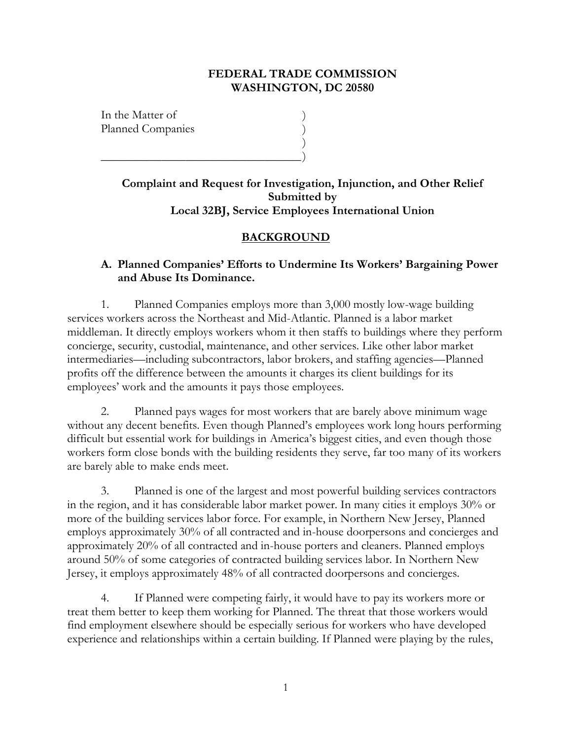#### **FEDERAL TRADE COMMISSION WASHINGTON, DC 20580**

In the Matter of ) Planned Companies )

\_\_\_\_\_\_\_\_\_\_\_\_\_\_\_\_\_\_\_\_\_\_\_\_\_\_\_\_\_\_\_\_\_ )

**Complaint and Request for Investigation, Injunction, and Other Relief Submitted by Local 32BJ, Service Employees International Union**

)

### **BACKGROUND**

### **A. Planned Companies' Efforts to Undermine Its Workers' Bargaining Power and Abuse Its Dominance.**

1. Planned Companies employs more than 3,000 mostly low-wage building services workers across the Northeast and Mid-Atlantic. Planned is a labor market middleman. It directly employs workers whom it then staffs to buildings where they perform concierge, security, custodial, maintenance, and other services. Like other labor market intermediaries—including subcontractors, labor brokers, and staffing agencies—Planned profits off the difference between the amounts it charges its client buildings for its employees' work and the amounts it pays those employees.

2. Planned pays wages for most workers that are barely above minimum wage without any decent benefits. Even though Planned's employees work long hours performing difficult but essential work for buildings in America's biggest cities, and even though those workers form close bonds with the building residents they serve, far too many of its workers are barely able to make ends meet.

3. Planned is one of the largest and most powerful building services contractors in the region, and it has considerable labor market power. In many cities it employs 30% or more of the building services labor force. For example, in Northern New Jersey, Planned employs approximately 30% of all contracted and in-house doorpersons and concierges and approximately 20% of all contracted and in-house porters and cleaners. Planned employs around 50% of some categories of contracted building services labor. In Northern New Jersey, it employs approximately 48% of all contracted doorpersons and concierges.

4. If Planned were competing fairly, it would have to pay its workers more or treat them better to keep them working for Planned. The threat that those workers would find employment elsewhere should be especially serious for workers who have developed experience and relationships within a certain building. If Planned were playing by the rules,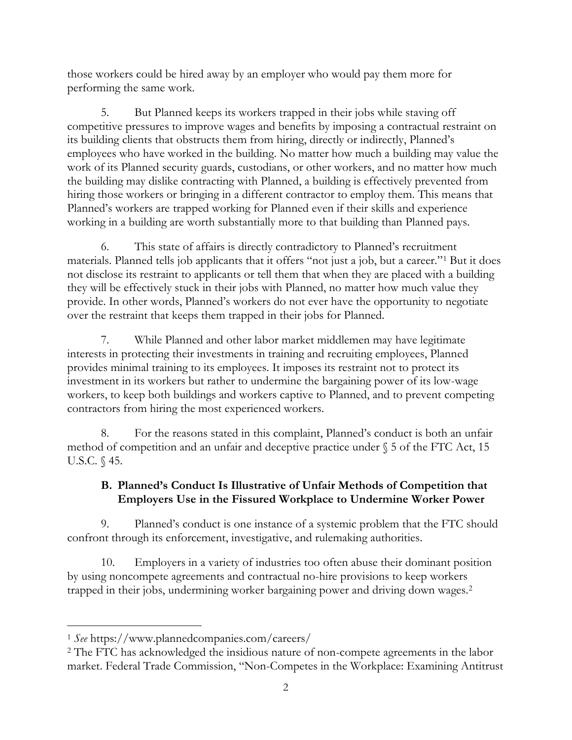those workers could be hired away by an employer who would pay them more for performing the same work.

5. But Planned keeps its workers trapped in their jobs while staving off competitive pressures to improve wages and benefits by imposing a contractual restraint on its building clients that obstructs them from hiring, directly or indirectly, Planned's employees who have worked in the building. No matter how much a building may value the work of its Planned security guards, custodians, or other workers, and no matter how much the building may dislike contracting with Planned, a building is effectively prevented from hiring those workers or bringing in a different contractor to employ them. This means that Planned's workers are trapped working for Planned even if their skills and experience working in a building are worth substantially more to that building than Planned pays.

6. This state of affairs is directly contradictory to Planned's recruitment materials. Planned tells job applicants that it offers "not just a job, but a career."<sup>1</sup> But it does not disclose its restraint to applicants or tell them that when they are placed with a building they will be effectively stuck in their jobs with Planned, no matter how much value they provide. In other words, Planned's workers do not ever have the opportunity to negotiate over the restraint that keeps them trapped in their jobs for Planned.

7. While Planned and other labor market middlemen may have legitimate interests in protecting their investments in training and recruiting employees, Planned provides minimal training to its employees. It imposes its restraint not to protect its investment in its workers but rather to undermine the bargaining power of its low-wage workers, to keep both buildings and workers captive to Planned, and to prevent competing contractors from hiring the most experienced workers.

8. For the reasons stated in this complaint, Planned's conduct is both an unfair method of competition and an unfair and deceptive practice under  $\S$  5 of the FTC Act, 15 U.S.C. § 45.

## **B. Planned's Conduct Is Illustrative of Unfair Methods of Competition that Employers Use in the Fissured Workplace to Undermine Worker Power**

9. Planned's conduct is one instance of a systemic problem that the FTC should confront through its enforcement, investigative, and rulemaking authorities.

10. Employers in a variety of industries too often abuse their dominant position by using noncompete agreements and contractual no-hire provisions to keep workers trapped in their jobs, undermining worker bargaining power and driving down wages.<sup>2</sup>

<sup>1</sup> *See* https://www.plannedcompanies.com/careers/

<sup>2</sup> The FTC has acknowledged the insidious nature of non-compete agreements in the labor market. Federal Trade Commission, "Non-Competes in the Workplace: Examining Antitrust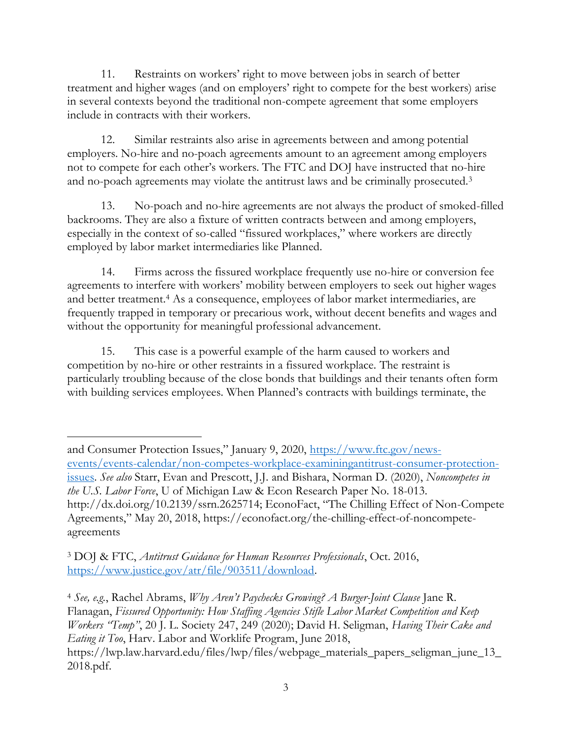11. Restraints on workers' right to move between jobs in search of better treatment and higher wages (and on employers' right to compete for the best workers) arise in several contexts beyond the traditional non-compete agreement that some employers include in contracts with their workers.

12. Similar restraints also arise in agreements between and among potential employers. No-hire and no-poach agreements amount to an agreement among employers not to compete for each other's workers. The FTC and DOJ have instructed that no-hire and no-poach agreements may violate the antitrust laws and be criminally prosecuted.<sup>3</sup>

13. No-poach and no-hire agreements are not always the product of smoked-filled backrooms. They are also a fixture of written contracts between and among employers, especially in the context of so-called "fissured workplaces," where workers are directly employed by labor market intermediaries like Planned.

14. Firms across the fissured workplace frequently use no-hire or conversion fee agreements to interfere with workers' mobility between employers to seek out higher wages and better treatment.<sup>4</sup> As a consequence, employees of labor market intermediaries, are frequently trapped in temporary or precarious work, without decent benefits and wages and without the opportunity for meaningful professional advancement.

15. This case is a powerful example of the harm caused to workers and competition by no-hire or other restraints in a fissured workplace. The restraint is particularly troubling because of the close bonds that buildings and their tenants often form with building services employees. When Planned's contracts with buildings terminate, the

and Consumer Protection Issues," January 9, 2020, [https://www.ftc.gov/news](https://www.ftc.gov/news-events/events-calendar/non-competes-workplace-examiningantitrust-consumer-protection-issues)[events/events-calendar/non-competes-workplace-examiningantitrust-consumer-protection](https://www.ftc.gov/news-events/events-calendar/non-competes-workplace-examiningantitrust-consumer-protection-issues)[issues.](https://www.ftc.gov/news-events/events-calendar/non-competes-workplace-examiningantitrust-consumer-protection-issues) *See also* Starr, Evan and Prescott, J.J. and Bishara, Norman D. (2020), *Noncompetes in the U.S. Labor Force*, U of Michigan Law & Econ Research Paper No. 18-013. http://dx.doi.org/10.2139/ssrn.2625714; EconoFact, "The Chilling Effect of Non-Compete Agreements," May 20, 2018, https://econofact.org/the-chilling-effect-of-noncompeteagreements

<sup>3</sup> DOJ & FTC, *Antitrust Guidance for Human Resources Professionals*, Oct. 2016, [https://www.justice.gov/atr/file/903511/download.](https://www.justice.gov/atr/file/903511/download)

<sup>4</sup> *See, e.g.*, Rachel Abrams, *Why Aren't Paychecks Growing? A Burger-Joint Clause* Jane R. Flanagan, *Fissured Opportunity: How Staffing Agencies Stifle Labor Market Competition and Keep Workers "Temp"*, 20 J. L. Society 247, 249 (2020); David H. Seligman, *Having Their Cake and Eating it Too*, Harv. Labor and Worklife Program, June 2018, https://lwp.law.harvard.edu/files/lwp/files/webpage\_materials\_papers\_seligman\_june\_13\_ 2018.pdf.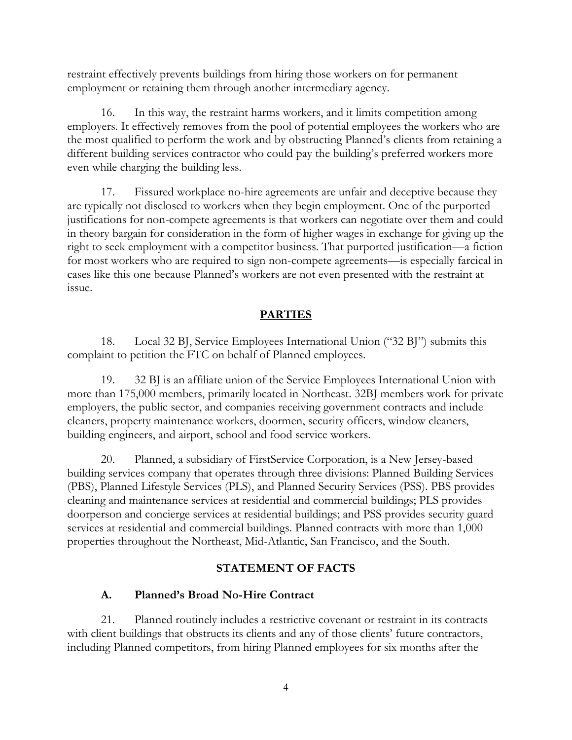restraint effectively prevents buildings from hiring those workers on for permanent employment or retaining them through another intermediary agency.

16. In this way, the restraint harms workers, and it limits competition among employers. It effectively removes from the pool of potential employees the workers who are the most qualified to perform the work and by obstructing Planned's clients from retaining a different building services contractor who could pay the building's preferred workers more even while charging the building less.

17. Fissured workplace no-hire agreements are unfair and deceptive because they are typically not disclosed to workers when they begin employment. One of the purported justifications for non-compete agreements is that workers can negotiate over them and could in theory bargain for consideration in the form of higher wages in exchange for giving up the right to seek employment with a competitor business. That purported justification—a fiction for most workers who are required to sign non-compete agreements—is especially farcical in cases like this one because Planned's workers are not even presented with the restraint at issue.

### **PARTIES**

18. Local 32 BJ, Service Employees International Union ("32 BJ") submits this complaint to petition the FTC on behalf of Planned employees.

19. 32 BJ is an affiliate union of the Service Employees International Union with more than 175,000 members, primarily located in Northeast. 32BJ members work for private employers, the public sector, and companies receiving government contracts and include cleaners, property maintenance workers, doormen, security officers, window cleaners, building engineers, and airport, school and food service workers.

20. Planned, a subsidiary of FirstService Corporation, is a New Jersey-based building services company that operates through three divisions: Planned Building Services (PBS), Planned Lifestyle Services (PLS), and Planned Security Services (PSS). PBS provides cleaning and maintenance services at residential and commercial buildings; PLS provides doorperson and concierge services at residential buildings; and PSS provides security guard services at residential and commercial buildings. Planned contracts with more than 1,000 properties throughout the Northeast, Mid-Atlantic, San Francisco, and the South.

### **STATEMENT OF FACTS**

### **A. Planned's Broad No-Hire Contract**

21. Planned routinely includes a restrictive covenant or restraint in its contracts with client buildings that obstructs its clients and any of those clients' future contractors, including Planned competitors, from hiring Planned employees for six months after the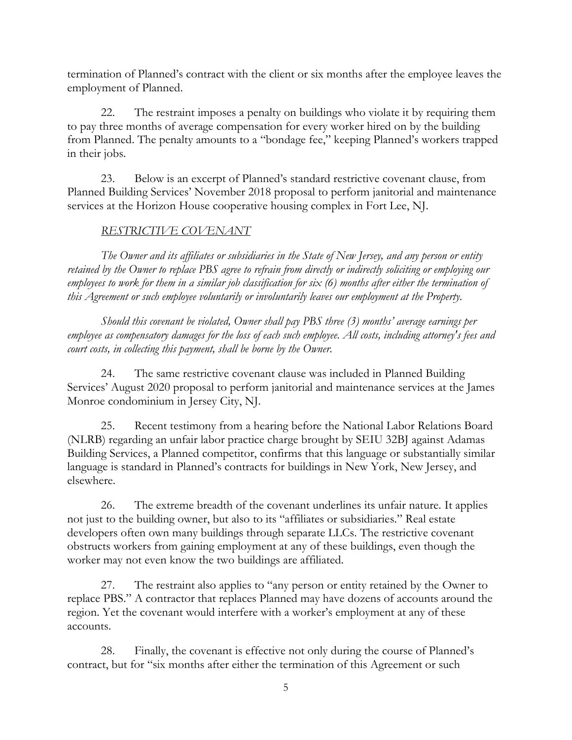termination of Planned's contract with the client or six months after the employee leaves the employment of Planned.

22. The restraint imposes a penalty on buildings who violate it by requiring them to pay three months of average compensation for every worker hired on by the building from Planned. The penalty amounts to a "bondage fee," keeping Planned's workers trapped in their jobs.

23. Below is an excerpt of Planned's standard restrictive covenant clause, from Planned Building Services' November 2018 proposal to perform janitorial and maintenance services at the Horizon House cooperative housing complex in Fort Lee, NJ.

## *RESTRICTIVE COVENANT*

*The Owner and its affiliates or subsidiaries in the State of New Jersey, and any person or entity retained by the Owner to replace PBS agree to refrain from directly or indirectly soliciting or employing our employees to work for them in a similar job classification for six (6) months after either the termination of this Agreement or such employee voluntarily or involuntarily leaves our employment at the Property.*

*Should this covenant be violated, Owner shall pay PBS three (3) months' average earnings per employee as compensatory damages for the loss of each such employee. All costs, including attorney's fees and court costs, in collecting this payment, shall be borne by the Owner.*

24. The same restrictive covenant clause was included in Planned Building Services' August 2020 proposal to perform janitorial and maintenance services at the James Monroe condominium in Jersey City, NJ.

25. Recent testimony from a hearing before the National Labor Relations Board (NLRB) regarding an unfair labor practice charge brought by SEIU 32BJ against Adamas Building Services, a Planned competitor, confirms that this language or substantially similar language is standard in Planned's contracts for buildings in New York, New Jersey, and elsewhere.

26. The extreme breadth of the covenant underlines its unfair nature. It applies not just to the building owner, but also to its "affiliates or subsidiaries." Real estate developers often own many buildings through separate LLCs. The restrictive covenant obstructs workers from gaining employment at any of these buildings, even though the worker may not even know the two buildings are affiliated.

27. The restraint also applies to "any person or entity retained by the Owner to replace PBS." A contractor that replaces Planned may have dozens of accounts around the region. Yet the covenant would interfere with a worker's employment at any of these accounts.

28. Finally, the covenant is effective not only during the course of Planned's contract, but for "six months after either the termination of this Agreement or such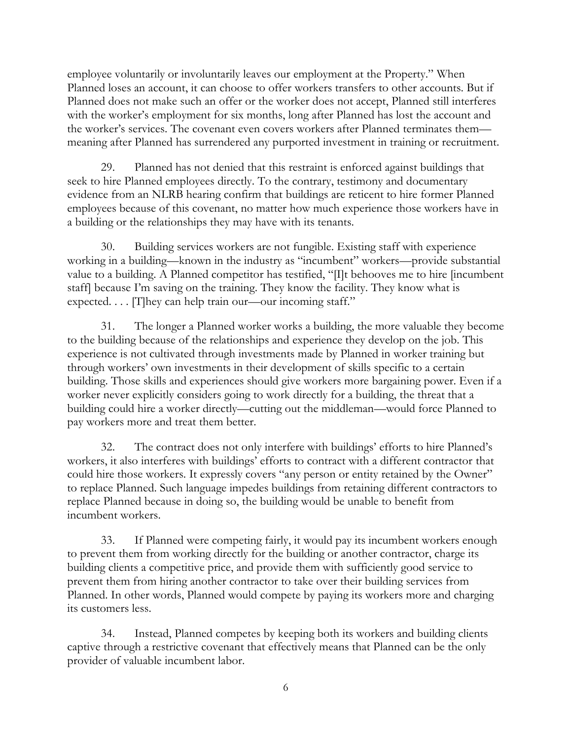employee voluntarily or involuntarily leaves our employment at the Property." When Planned loses an account, it can choose to offer workers transfers to other accounts. But if Planned does not make such an offer or the worker does not accept, Planned still interferes with the worker's employment for six months, long after Planned has lost the account and the worker's services. The covenant even covers workers after Planned terminates them meaning after Planned has surrendered any purported investment in training or recruitment.

29. Planned has not denied that this restraint is enforced against buildings that seek to hire Planned employees directly. To the contrary, testimony and documentary evidence from an NLRB hearing confirm that buildings are reticent to hire former Planned employees because of this covenant, no matter how much experience those workers have in a building or the relationships they may have with its tenants.

30. Building services workers are not fungible. Existing staff with experience working in a building—known in the industry as "incumbent" workers—provide substantial value to a building. A Planned competitor has testified, "[I]t behooves me to hire [incumbent staff] because I'm saving on the training. They know the facility. They know what is expected. . . . [T] hey can help train our—our incoming staff."

31. The longer a Planned worker works a building, the more valuable they become to the building because of the relationships and experience they develop on the job. This experience is not cultivated through investments made by Planned in worker training but through workers' own investments in their development of skills specific to a certain building. Those skills and experiences should give workers more bargaining power. Even if a worker never explicitly considers going to work directly for a building, the threat that a building could hire a worker directly—cutting out the middleman—would force Planned to pay workers more and treat them better.

32. The contract does not only interfere with buildings' efforts to hire Planned's workers, it also interferes with buildings' efforts to contract with a different contractor that could hire those workers. It expressly covers "any person or entity retained by the Owner" to replace Planned. Such language impedes buildings from retaining different contractors to replace Planned because in doing so, the building would be unable to benefit from incumbent workers.

33. If Planned were competing fairly, it would pay its incumbent workers enough to prevent them from working directly for the building or another contractor, charge its building clients a competitive price, and provide them with sufficiently good service to prevent them from hiring another contractor to take over their building services from Planned. In other words, Planned would compete by paying its workers more and charging its customers less.

34. Instead, Planned competes by keeping both its workers and building clients captive through a restrictive covenant that effectively means that Planned can be the only provider of valuable incumbent labor.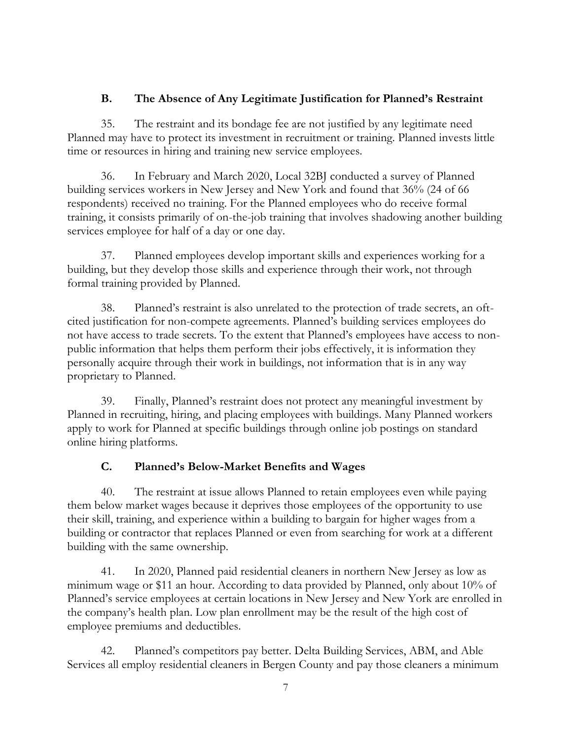### **B. The Absence of Any Legitimate Justification for Planned's Restraint**

35. The restraint and its bondage fee are not justified by any legitimate need Planned may have to protect its investment in recruitment or training. Planned invests little time or resources in hiring and training new service employees.

36. In February and March 2020, Local 32BJ conducted a survey of Planned building services workers in New Jersey and New York and found that 36% (24 of 66 respondents) received no training. For the Planned employees who do receive formal training, it consists primarily of on-the-job training that involves shadowing another building services employee for half of a day or one day.

37. Planned employees develop important skills and experiences working for a building, but they develop those skills and experience through their work, not through formal training provided by Planned.

38. Planned's restraint is also unrelated to the protection of trade secrets, an oftcited justification for non-compete agreements. Planned's building services employees do not have access to trade secrets. To the extent that Planned's employees have access to nonpublic information that helps them perform their jobs effectively, it is information they personally acquire through their work in buildings, not information that is in any way proprietary to Planned.

39. Finally, Planned's restraint does not protect any meaningful investment by Planned in recruiting, hiring, and placing employees with buildings. Many Planned workers apply to work for Planned at specific buildings through online job postings on standard online hiring platforms.

### **C. Planned's Below-Market Benefits and Wages**

40. The restraint at issue allows Planned to retain employees even while paying them below market wages because it deprives those employees of the opportunity to use their skill, training, and experience within a building to bargain for higher wages from a building or contractor that replaces Planned or even from searching for work at a different building with the same ownership.

41. In 2020, Planned paid residential cleaners in northern New Jersey as low as minimum wage or \$11 an hour. According to data provided by Planned, only about 10% of Planned's service employees at certain locations in New Jersey and New York are enrolled in the company's health plan. Low plan enrollment may be the result of the high cost of employee premiums and deductibles.

42. Planned's competitors pay better. Delta Building Services, ABM, and Able Services all employ residential cleaners in Bergen County and pay those cleaners a minimum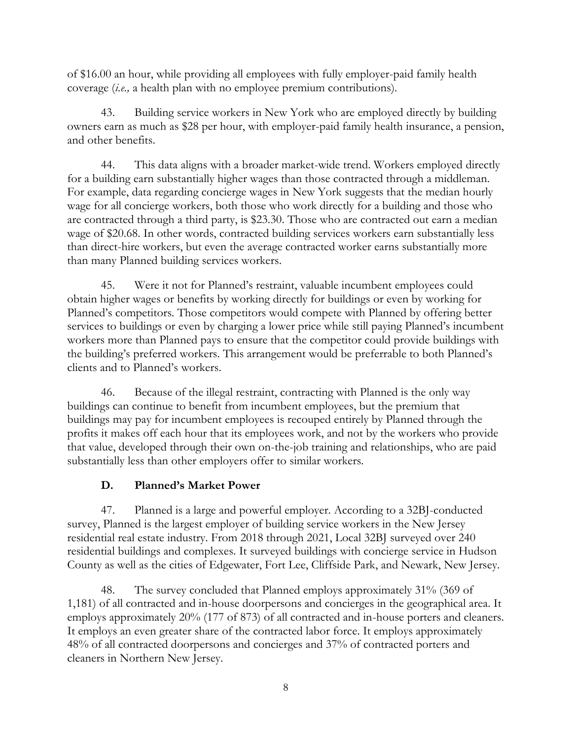of \$16.00 an hour, while providing all employees with fully employer-paid family health coverage (*i.e.,* a health plan with no employee premium contributions).

43. Building service workers in New York who are employed directly by building owners earn as much as \$28 per hour, with employer-paid family health insurance, a pension, and other benefits.

44. This data aligns with a broader market-wide trend. Workers employed directly for a building earn substantially higher wages than those contracted through a middleman. For example, data regarding concierge wages in New York suggests that the median hourly wage for all concierge workers, both those who work directly for a building and those who are contracted through a third party, is \$23.30. Those who are contracted out earn a median wage of \$20.68. In other words, contracted building services workers earn substantially less than direct-hire workers, but even the average contracted worker earns substantially more than many Planned building services workers.

45. Were it not for Planned's restraint, valuable incumbent employees could obtain higher wages or benefits by working directly for buildings or even by working for Planned's competitors. Those competitors would compete with Planned by offering better services to buildings or even by charging a lower price while still paying Planned's incumbent workers more than Planned pays to ensure that the competitor could provide buildings with the building's preferred workers. This arrangement would be preferrable to both Planned's clients and to Planned's workers.

46. Because of the illegal restraint, contracting with Planned is the only way buildings can continue to benefit from incumbent employees, but the premium that buildings may pay for incumbent employees is recouped entirely by Planned through the profits it makes off each hour that its employees work, and not by the workers who provide that value, developed through their own on-the-job training and relationships, who are paid substantially less than other employers offer to similar workers.

# **D. Planned's Market Power**

47. Planned is a large and powerful employer. According to a 32BJ-conducted survey, Planned is the largest employer of building service workers in the New Jersey residential real estate industry. From 2018 through 2021, Local 32BJ surveyed over 240 residential buildings and complexes. It surveyed buildings with concierge service in Hudson County as well as the cities of Edgewater, Fort Lee, Cliffside Park, and Newark, New Jersey.

48. The survey concluded that Planned employs approximately 31% (369 of 1,181) of all contracted and in-house doorpersons and concierges in the geographical area. It employs approximately 20% (177 of 873) of all contracted and in-house porters and cleaners. It employs an even greater share of the contracted labor force. It employs approximately 48% of all contracted doorpersons and concierges and 37% of contracted porters and cleaners in Northern New Jersey.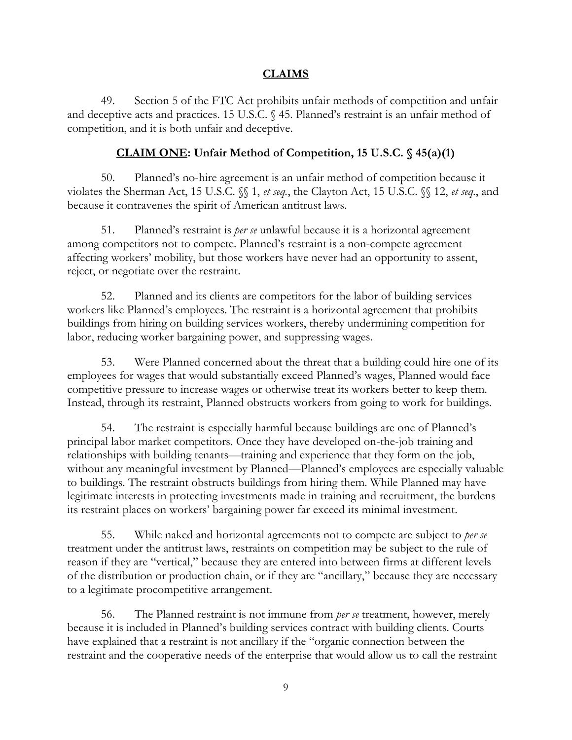#### **CLAIMS**

49. Section 5 of the FTC Act prohibits unfair methods of competition and unfair and deceptive acts and practices. 15 U.S.C. § 45. Planned's restraint is an unfair method of competition, and it is both unfair and deceptive.

#### **CLAIM ONE: Unfair Method of Competition, 15 U.S.C. § 45(a)(1)**

50. Planned's no-hire agreement is an unfair method of competition because it violates the Sherman Act, 15 U.S.C. §§ 1, *et seq.*, the Clayton Act, 15 U.S.C. §§ 12, *et seq.*, and because it contravenes the spirit of American antitrust laws.

51. Planned's restraint is *per se* unlawful because it is a horizontal agreement among competitors not to compete. Planned's restraint is a non-compete agreement affecting workers' mobility, but those workers have never had an opportunity to assent, reject, or negotiate over the restraint.

52. Planned and its clients are competitors for the labor of building services workers like Planned's employees. The restraint is a horizontal agreement that prohibits buildings from hiring on building services workers, thereby undermining competition for labor, reducing worker bargaining power, and suppressing wages.

53. Were Planned concerned about the threat that a building could hire one of its employees for wages that would substantially exceed Planned's wages, Planned would face competitive pressure to increase wages or otherwise treat its workers better to keep them. Instead, through its restraint, Planned obstructs workers from going to work for buildings.

54. The restraint is especially harmful because buildings are one of Planned's principal labor market competitors. Once they have developed on-the-job training and relationships with building tenants—training and experience that they form on the job, without any meaningful investment by Planned—Planned's employees are especially valuable to buildings. The restraint obstructs buildings from hiring them. While Planned may have legitimate interests in protecting investments made in training and recruitment, the burdens its restraint places on workers' bargaining power far exceed its minimal investment.

55. While naked and horizontal agreements not to compete are subject to *per se*  treatment under the antitrust laws, restraints on competition may be subject to the rule of reason if they are "vertical," because they are entered into between firms at different levels of the distribution or production chain, or if they are "ancillary," because they are necessary to a legitimate procompetitive arrangement.

56. The Planned restraint is not immune from *per se* treatment, however, merely because it is included in Planned's building services contract with building clients. Courts have explained that a restraint is not ancillary if the "organic connection between the restraint and the cooperative needs of the enterprise that would allow us to call the restraint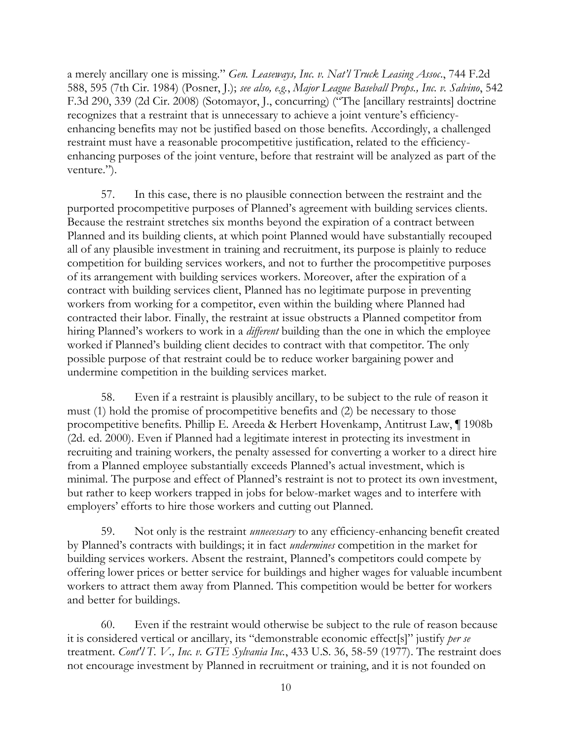a merely ancillary one is missing." *Gen. Leaseways, Inc. v. Nat'l Truck Leasing Assoc*., 744 F.2d 588, 595 (7th Cir. 1984) (Posner, J.); *see also, e.g.*, *Major League Baseball Props., Inc. v. Salvino*, 542 F.3d 290, 339 (2d Cir. 2008) (Sotomayor, J., concurring) ("The [ancillary restraints] doctrine recognizes that a restraint that is unnecessary to achieve a joint venture's efficiencyenhancing benefits may not be justified based on those benefits. Accordingly, a challenged restraint must have a reasonable procompetitive justification, related to the efficiencyenhancing purposes of the joint venture, before that restraint will be analyzed as part of the venture.").

57. In this case, there is no plausible connection between the restraint and the purported procompetitive purposes of Planned's agreement with building services clients. Because the restraint stretches six months beyond the expiration of a contract between Planned and its building clients, at which point Planned would have substantially recouped all of any plausible investment in training and recruitment, its purpose is plainly to reduce competition for building services workers, and not to further the procompetitive purposes of its arrangement with building services workers. Moreover, after the expiration of a contract with building services client, Planned has no legitimate purpose in preventing workers from working for a competitor, even within the building where Planned had contracted their labor. Finally, the restraint at issue obstructs a Planned competitor from hiring Planned's workers to work in a *different* building than the one in which the employee worked if Planned's building client decides to contract with that competitor. The only possible purpose of that restraint could be to reduce worker bargaining power and undermine competition in the building services market.

58. Even if a restraint is plausibly ancillary, to be subject to the rule of reason it must (1) hold the promise of procompetitive benefits and (2) be necessary to those procompetitive benefits. Phillip E. Areeda & Herbert Hovenkamp, Antitrust Law, ¶ 1908b (2d. ed. 2000). Even if Planned had a legitimate interest in protecting its investment in recruiting and training workers, the penalty assessed for converting a worker to a direct hire from a Planned employee substantially exceeds Planned's actual investment, which is minimal. The purpose and effect of Planned's restraint is not to protect its own investment, but rather to keep workers trapped in jobs for below-market wages and to interfere with employers' efforts to hire those workers and cutting out Planned.

59. Not only is the restraint *unnecessary* to any efficiency-enhancing benefit created by Planned's contracts with buildings; it in fact *undermines* competition in the market for building services workers. Absent the restraint, Planned's competitors could compete by offering lower prices or better service for buildings and higher wages for valuable incumbent workers to attract them away from Planned. This competition would be better for workers and better for buildings.

60. Even if the restraint would otherwise be subject to the rule of reason because it is considered vertical or ancillary, its "demonstrable economic effect[s]" justify *per se* treatment. *Cont'l T. V., Inc. v. GTE Sylvania Inc.*, 433 U.S. 36, 58-59 (1977). The restraint does not encourage investment by Planned in recruitment or training, and it is not founded on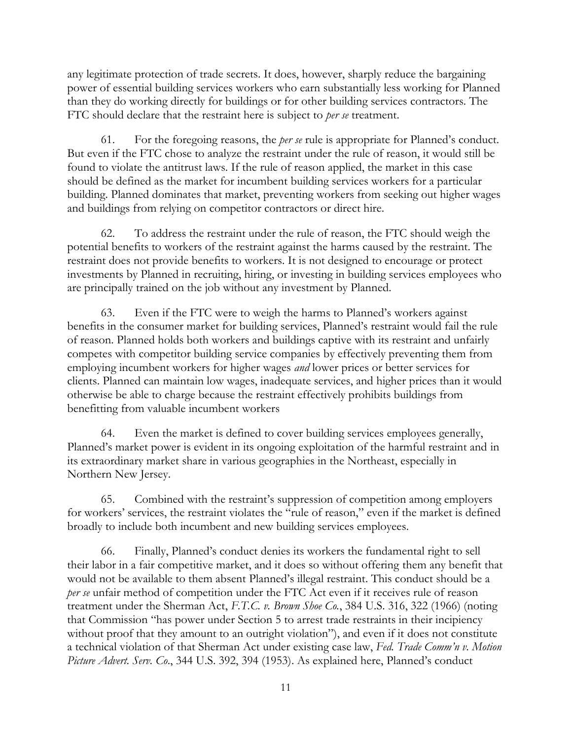any legitimate protection of trade secrets. It does, however, sharply reduce the bargaining power of essential building services workers who earn substantially less working for Planned than they do working directly for buildings or for other building services contractors. The FTC should declare that the restraint here is subject to *per se* treatment.

61. For the foregoing reasons, the *per se* rule is appropriate for Planned's conduct. But even if the FTC chose to analyze the restraint under the rule of reason, it would still be found to violate the antitrust laws. If the rule of reason applied, the market in this case should be defined as the market for incumbent building services workers for a particular building. Planned dominates that market, preventing workers from seeking out higher wages and buildings from relying on competitor contractors or direct hire.

62. To address the restraint under the rule of reason, the FTC should weigh the potential benefits to workers of the restraint against the harms caused by the restraint. The restraint does not provide benefits to workers. It is not designed to encourage or protect investments by Planned in recruiting, hiring, or investing in building services employees who are principally trained on the job without any investment by Planned.

63. Even if the FTC were to weigh the harms to Planned's workers against benefits in the consumer market for building services, Planned's restraint would fail the rule of reason. Planned holds both workers and buildings captive with its restraint and unfairly competes with competitor building service companies by effectively preventing them from employing incumbent workers for higher wages *and* lower prices or better services for clients. Planned can maintain low wages, inadequate services, and higher prices than it would otherwise be able to charge because the restraint effectively prohibits buildings from benefitting from valuable incumbent workers

64. Even the market is defined to cover building services employees generally, Planned's market power is evident in its ongoing exploitation of the harmful restraint and in its extraordinary market share in various geographies in the Northeast, especially in Northern New Jersey.

65. Combined with the restraint's suppression of competition among employers for workers' services, the restraint violates the "rule of reason," even if the market is defined broadly to include both incumbent and new building services employees.

66. Finally, Planned's conduct denies its workers the fundamental right to sell their labor in a fair competitive market, and it does so without offering them any benefit that would not be available to them absent Planned's illegal restraint. This conduct should be a *per se* unfair method of competition under the FTC Act even if it receives rule of reason treatment under the Sherman Act, *F.T.C. v. Brown Shoe Co.*, 384 U.S. 316, 322 (1966) (noting that Commission "has power under Section 5 to arrest trade restraints in their incipiency without proof that they amount to an outright violation"), and even if it does not constitute a technical violation of that Sherman Act under existing case law, *Fed. Trade Comm'n v. Motion Picture Advert. Serv. Co*., 344 U.S. 392, 394 (1953). As explained here, Planned's conduct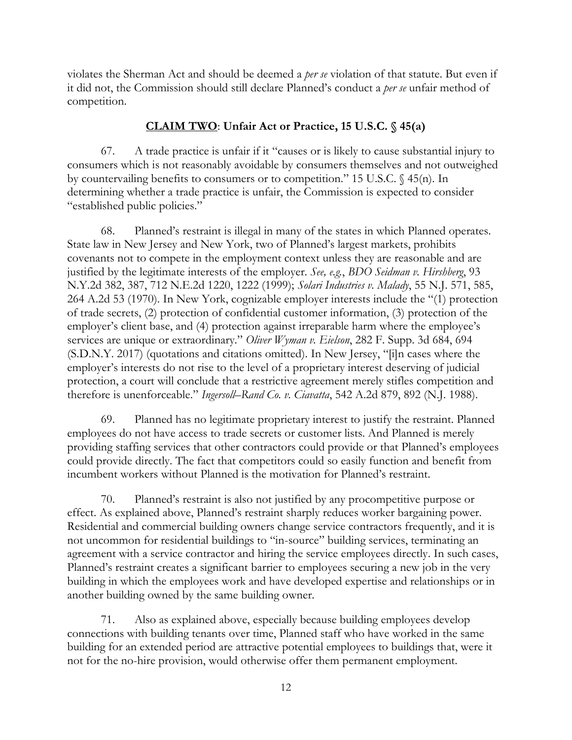violates the Sherman Act and should be deemed a *per se* violation of that statute. But even if it did not, the Commission should still declare Planned's conduct a *per se* unfair method of competition.

## **CLAIM TWO**: **Unfair Act or Practice, 15 U.S.C. § 45(a)**

67. A trade practice is unfair if it "causes or is likely to cause substantial injury to consumers which is not reasonably avoidable by consumers themselves and not outweighed by countervailing benefits to consumers or to competition." 15 U.S.C. § 45(n). In determining whether a trade practice is unfair, the Commission is expected to consider "established public policies."

68. Planned's restraint is illegal in many of the states in which Planned operates. State law in New Jersey and New York, two of Planned's largest markets, prohibits covenants not to compete in the employment context unless they are reasonable and are justified by the legitimate interests of the employer. *See, e.g.*, *BDO Seidman v. Hirshberg*, 93 N.Y.2d 382, 387, 712 N.E.2d 1220, 1222 (1999); *Solari Industries v. Malady*, 55 N.J. 571, 585, 264 A.2d 53 (1970). In New York, cognizable employer interests include the "(1) protection of trade secrets, (2) protection of confidential customer information, (3) protection of the employer's client base, and (4) protection against irreparable harm where the employee's services are unique or extraordinary." *Oliver Wyman v. Eielson*, 282 F. Supp. 3d 684, 694 (S.D.N.Y. 2017) (quotations and citations omitted). In New Jersey, "[i]n cases where the employer's interests do not rise to the level of a proprietary interest deserving of judicial protection, a court will conclude that a restrictive agreement merely stifles competition and therefore is unenforceable." *Ingersoll–Rand Co. v. Ciavatta*, 542 A.2d 879, 892 (N.J. 1988).

69. Planned has no legitimate proprietary interest to justify the restraint. Planned employees do not have access to trade secrets or customer lists. And Planned is merely providing staffing services that other contractors could provide or that Planned's employees could provide directly. The fact that competitors could so easily function and benefit from incumbent workers without Planned is the motivation for Planned's restraint.

70. Planned's restraint is also not justified by any procompetitive purpose or effect. As explained above, Planned's restraint sharply reduces worker bargaining power. Residential and commercial building owners change service contractors frequently, and it is not uncommon for residential buildings to "in-source" building services, terminating an agreement with a service contractor and hiring the service employees directly. In such cases, Planned's restraint creates a significant barrier to employees securing a new job in the very building in which the employees work and have developed expertise and relationships or in another building owned by the same building owner.

71. Also as explained above, especially because building employees develop connections with building tenants over time, Planned staff who have worked in the same building for an extended period are attractive potential employees to buildings that, were it not for the no-hire provision, would otherwise offer them permanent employment.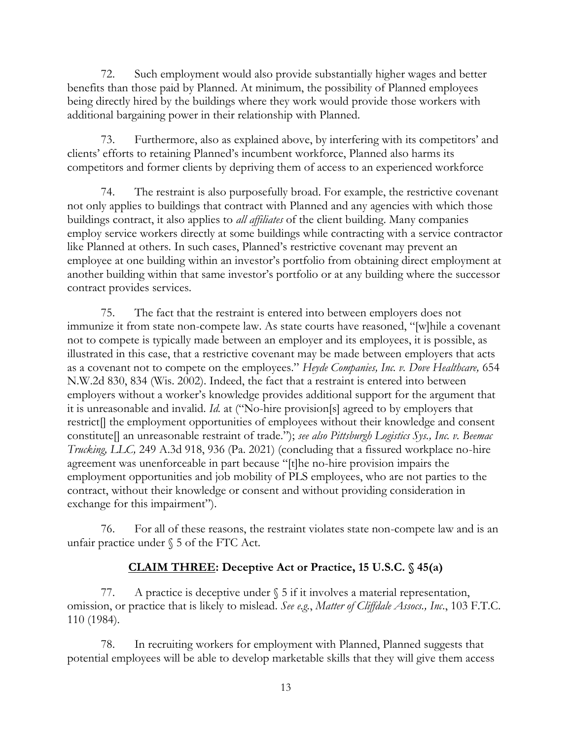72. Such employment would also provide substantially higher wages and better benefits than those paid by Planned. At minimum, the possibility of Planned employees being directly hired by the buildings where they work would provide those workers with additional bargaining power in their relationship with Planned.

73. Furthermore, also as explained above, by interfering with its competitors' and clients' efforts to retaining Planned's incumbent workforce, Planned also harms its competitors and former clients by depriving them of access to an experienced workforce

74. The restraint is also purposefully broad. For example, the restrictive covenant not only applies to buildings that contract with Planned and any agencies with which those buildings contract, it also applies to *all affiliates* of the client building. Many companies employ service workers directly at some buildings while contracting with a service contractor like Planned at others. In such cases, Planned's restrictive covenant may prevent an employee at one building within an investor's portfolio from obtaining direct employment at another building within that same investor's portfolio or at any building where the successor contract provides services.

75. The fact that the restraint is entered into between employers does not immunize it from state non-compete law. As state courts have reasoned, "[w]hile a covenant not to compete is typically made between an employer and its employees, it is possible, as illustrated in this case, that a restrictive covenant may be made between employers that acts as a covenant not to compete on the employees." *Heyde Companies, Inc. v. Dove Healthcare,* 654 N.W.2d 830, 834 (Wis. 2002). Indeed, the fact that a restraint is entered into between employers without a worker's knowledge provides additional support for the argument that it is unreasonable and invalid. *Id.* at ("No-hire provision[s] agreed to by employers that restrict[] the employment opportunities of employees without their knowledge and consent constitute[] an unreasonable restraint of trade."); *see also Pittsburgh Logistics Sys., Inc. v. Beemac Trucking, LLC,* 249 A.3d 918, 936 (Pa. 2021) (concluding that a fissured workplace no-hire agreement was unenforceable in part because "[t]he no-hire provision impairs the employment opportunities and job mobility of PLS employees, who are not parties to the contract, without their knowledge or consent and without providing consideration in exchange for this impairment").

76. For all of these reasons, the restraint violates state non-compete law and is an unfair practice under § 5 of the FTC Act.

# **CLAIM THREE: Deceptive Act or Practice, 15 U.S.C. § 45(a)**

77. A practice is deceptive under  $\S$  5 if it involves a material representation, omission, or practice that is likely to mislead. *See e.g.*, *Matter of Cliffdale Assocs., Inc*., 103 F.T.C. 110 (1984).

78. In recruiting workers for employment with Planned, Planned suggests that potential employees will be able to develop marketable skills that they will give them access